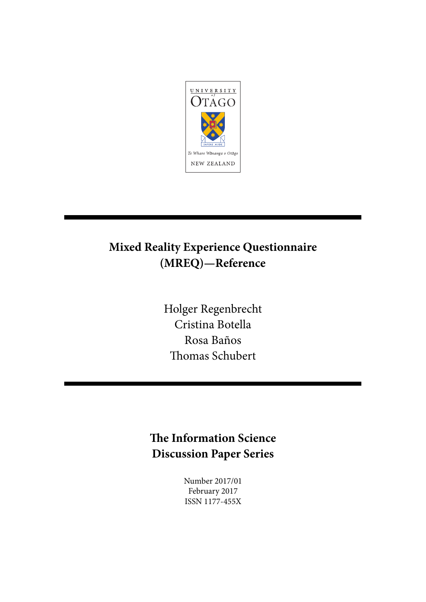

# **Mixed Reality Experience Questionnaire (MREQ)—Reference**

Holger Regenbrecht Cristina Botella Rosa Baños Thomas Schubert

# **The Information Science Discussion Paper Series**

Number 2017/01 February 2017 ISSN 1177-455X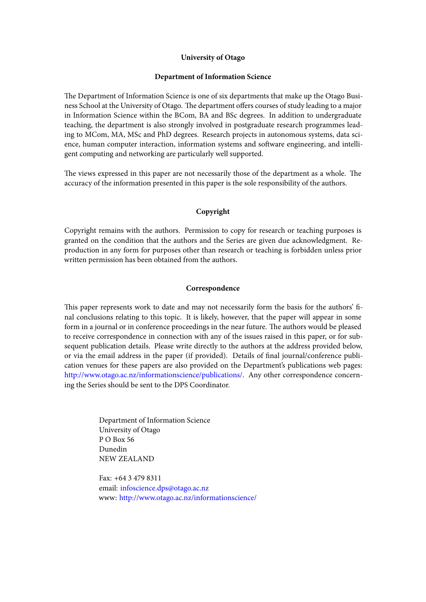### **University of Otago**

### **Department of Information Science**

The Department of Information Science is one of six departments that make up the Otago Business School at the University of Otago. The department offers courses of study leading to a major in Information Science within the BCom, BA and BSc degrees. In addition to undergraduate teaching, the department is also strongly involved in postgraduate research programmes leading to MCom, MA, MSc and PhD degrees. Research projects in autonomous systems, data science, human computer interaction, information systems and software engineering, and intelligent computing and networking are particularly well supported.

The views expressed in this paper are not necessarily those of the department as a whole. The accuracy of the information presented in this paper is the sole responsibility of the authors.

## **Copyright**

Copyright remains with the authors. Permission to copy for research or teaching purposes is granted on the condition that the authors and the Series are given due acknowledgment. Reproduction in any form for purposes other than research or teaching is forbidden unless prior written permission has been obtained from the authors.

## **Correspondence**

This paper represents work to date and may not necessarily form the basis for the authors' final conclusions relating to this topic. It is likely, however, that the paper will appear in some form in a journal or in conference proceedings in the near future. The authors would be pleased to receive correspondence in connection with any of the issues raised in this paper, or for subsequent publication details. Please write directly to the authors at the address provided below, or via the email address in the paper (if provided). Details of final journal/conference publication venues for these papers are also provided on the Department's publications web pages: http://www.otago.ac.nz/informationscience/publications/. Any other correspondence concerning the Series should be sent to the DPS Coordinator.

> Department of Information Science University of Otago P O Box 56 Dunedin NEW ZEALAND

Fax: +64 3 479 8311 email: infoscience.dps@otago.ac.nz www: http://www.otago.ac.nz/informationscience/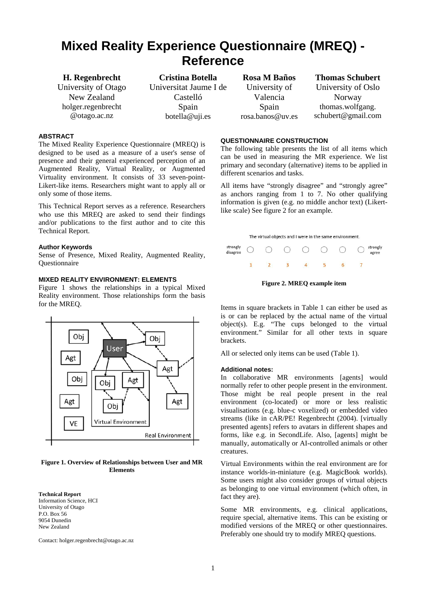# **Mixed Reality Experience Questionnaire (MREQ) - Reference**

**H. Regenbrecht**  University of Otago New Zealand holger.regenbrecht @otago.ac.nz

**Cristina Botella**  Universitat Jaume I de Castelló Spain botella@uji.es

#### **ABSTRACT**

The Mixed Reality Experience Questionnaire (MREQ) is designed to be used as a measure of a user's sense of presence and their general experienced perception of an Augmented Reality, Virtual Reality, or Augmented Virtuality environment. It consists of 33 seven-point-Likert-like items. Researchers might want to apply all or only some of those items.

This Technical Report serves as a reference. Researchers who use this MREQ are asked to send their findings and/or publications to the first author and to cite this Technical Report.

#### **Author Keywords**

Sense of Presence, Mixed Reality, Augmented Reality, **Ouestionnaire** 

## **MIXED REALITY ENVIRONMENT: ELEMENTS**

Figure 1 shows the relationships in a typical Mixed Reality environment. Those relationships form the basis for the MREQ.



#### **Figure 1. Overview of Relationships between User and MR Elements**

**Technical Report**  Information Science, HCI University of Otago P.O. Box 56 9054 Dunedin New Zealand

Contact: holger.regenbrecht@otago.ac.nz

**Rosa M Baños**  University of Valencia Spain rosa.banos@uv.es **Thomas Schubert**  University of Oslo

Norway thomas.wolfgang. schubert@gmail.com

#### **QUESTIONNAIRE CONSTRUCTION**

The following table presents the list of all items which can be used in measuring the MR experience. We list primary and secondary (alternative) items to be applied in different scenarios and tasks.

All items have "strongly disagree" and "strongly agree" as anchors ranging from 1 to 7. No other qualifying information is given (e.g. no middle anchor text) (Likertlike scale) See figure 2 for an example.

The virtual objects and I were in the same environment.

|  |  | strongly 〇 〇 〇 〇 〇 〇 〇 |  | strongly<br>agree |
|--|--|------------------------|--|-------------------|
|  |  |                        |  |                   |

**Figure 2. MREQ example item** 

Items in square brackets in Table 1 can either be used as is or can be replaced by the actual name of the virtual object(s). E.g. "The cups belonged to the virtual environment." Similar for all other texts in square brackets.

All or selected only items can be used (Table 1).

#### **Additional notes:**

In collaborative MR environments [agents] would normally refer to other people present in the environment. Those might be real people present in the real environment (co-located) or more or less realistic visualisations (e.g. blue-c voxelized) or embedded video streams (like in cAR/PE! Regenbrecht (2004). [virtually presented agents] refers to avatars in different shapes and forms, like e.g. in SecondLife. Also, [agents] might be manually, automatically or AI-controlled animals or other creatures.

Virtual Environments within the real environment are for instance worlds-in-miniature (e.g. MagicBook worlds). Some users might also consider groups of virtual objects as belonging to one virtual environment (which often, in fact they are).

Some MR environments, e.g. clinical applications, require special, alternative items. This can be existing or modified versions of the MREQ or other questionnaires. Preferably one should try to modify MREQ questions.